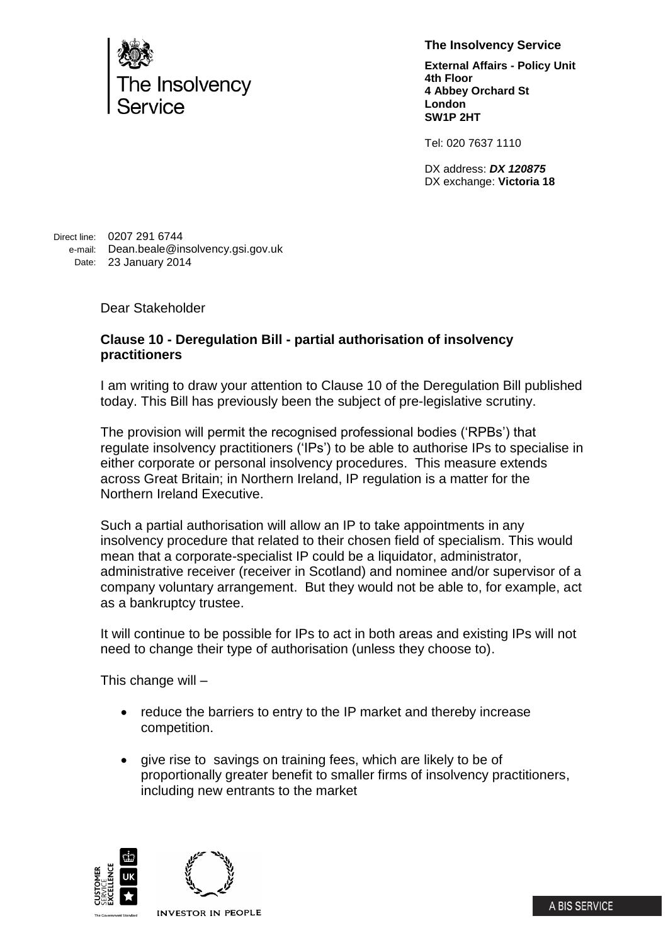

**The Insolvency Service**

**External Affairs - Policy Unit 4th Floor 4 Abbey Orchard St London SW1P 2HT**

Tel: 020 7637 1110

DX address: *DX 120875* DX exchange: **Victoria 18**

Direct line: 0207 291 6744 e-mail: Dean.beale@insolvency.gsi.gov.uk Date: 23 January 2014

Dear Stakeholder

## **Clause 10 - Deregulation Bill - partial authorisation of insolvency practitioners**

I am writing to draw your attention to Clause 10 of the Deregulation Bill published today. This Bill has previously been the subject of pre-legislative scrutiny.

The provision will permit the recognised professional bodies ('RPBs') that regulate insolvency practitioners ('IPs') to be able to authorise IPs to specialise in either corporate or personal insolvency procedures. This measure extends across Great Britain; in Northern Ireland, IP regulation is a matter for the Northern Ireland Executive.

Such a partial authorisation will allow an IP to take appointments in any insolvency procedure that related to their chosen field of specialism. This would mean that a corporate-specialist IP could be a liquidator, administrator, administrative receiver (receiver in Scotland) and nominee and/or supervisor of a company voluntary arrangement. But they would not be able to, for example, act as a bankruptcy trustee.

It will continue to be possible for IPs to act in both areas and existing IPs will not need to change their type of authorisation (unless they choose to).

This change will –

- reduce the barriers to entry to the IP market and thereby increase competition.
- give rise to savings on training fees, which are likely to be of proportionally greater benefit to smaller firms of insolvency practitioners, including new entrants to the market



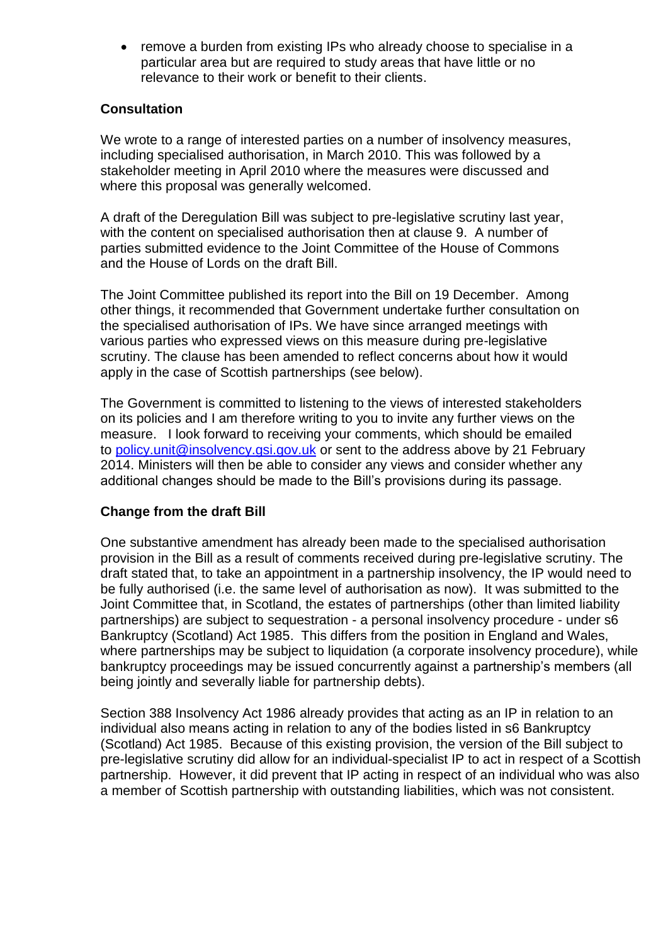• remove a burden from existing IPs who already choose to specialise in a particular area but are required to study areas that have little or no relevance to their work or benefit to their clients.

## **Consultation**

We wrote to a range of interested parties on a number of insolvency measures, including specialised authorisation, in March 2010. This was followed by a stakeholder meeting in April 2010 where the measures were discussed and where this proposal was generally welcomed.

A draft of the Deregulation Bill was subject to pre-legislative scrutiny last year, with the content on specialised authorisation then at clause 9. A number of parties submitted evidence to the Joint Committee of the House of Commons and the House of Lords on the draft Bill.

The Joint Committee published its report into the Bill on 19 December. Among other things, it recommended that Government undertake further consultation on the specialised authorisation of IPs. We have since arranged meetings with various parties who expressed views on this measure during pre-legislative scrutiny. The clause has been amended to reflect concerns about how it would apply in the case of Scottish partnerships (see below).

The Government is committed to listening to the views of interested stakeholders on its policies and I am therefore writing to you to invite any further views on the measure. I look forward to receiving your comments, which should be emailed to [policy.unit@insolvency.gsi.gov.uk](mailto:policy.unit@insolvency.gsi.gov.uk) or sent to the address above by 21 February 2014. Ministers will then be able to consider any views and consider whether any additional changes should be made to the Bill's provisions during its passage.

## **Change from the draft Bill**

One substantive amendment has already been made to the specialised authorisation provision in the Bill as a result of comments received during pre-legislative scrutiny. The draft stated that, to take an appointment in a partnership insolvency, the IP would need to be fully authorised (i.e. the same level of authorisation as now). It was submitted to the Joint Committee that, in Scotland, the estates of partnerships (other than limited liability partnerships) are subject to sequestration - a personal insolvency procedure - under s6 Bankruptcy (Scotland) Act 1985. This differs from the position in England and Wales, where partnerships may be subject to liquidation (a corporate insolvency procedure), while bankruptcy proceedings may be issued concurrently against a partnership's members (all being jointly and severally liable for partnership debts).

Section 388 Insolvency Act 1986 already provides that acting as an IP in relation to an individual also means acting in relation to any of the bodies listed in s6 Bankruptcy (Scotland) Act 1985. Because of this existing provision, the version of the Bill subject to pre-legislative scrutiny did allow for an individual-specialist IP to act in respect of a Scottish partnership. However, it did prevent that IP acting in respect of an individual who was also a member of Scottish partnership with outstanding liabilities, which was not consistent.